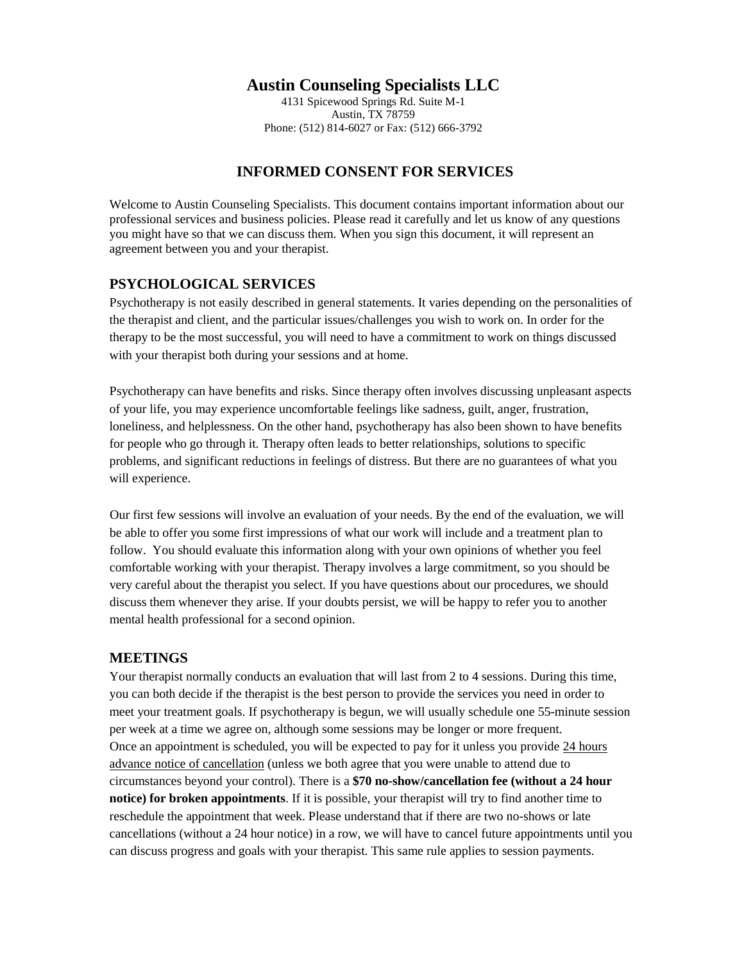# **Austin Counseling Specialists LLC**

4131 Spicewood Springs Rd. Suite M-1 Austin, TX 78759 Phone: (512) 814-6027 or Fax: (512) 666-3792

# **INFORMED CONSENT FOR SERVICES**

Welcome to Austin Counseling Specialists. This document contains important information about our professional services and business policies. Please read it carefully and let us know of any questions you might have so that we can discuss them. When you sign this document, it will represent an agreement between you and your therapist.

### **PSYCHOLOGICAL SERVICES**

Psychotherapy is not easily described in general statements. It varies depending on the personalities of the therapist and client, and the particular issues/challenges you wish to work on. In order for the therapy to be the most successful, you will need to have a commitment to work on things discussed with your therapist both during your sessions and at home.

Psychotherapy can have benefits and risks. Since therapy often involves discussing unpleasant aspects of your life, you may experience uncomfortable feelings like sadness, guilt, anger, frustration, loneliness, and helplessness. On the other hand, psychotherapy has also been shown to have benefits for people who go through it. Therapy often leads to better relationships, solutions to specific problems, and significant reductions in feelings of distress. But there are no guarantees of what you will experience.

Our first few sessions will involve an evaluation of your needs. By the end of the evaluation, we will be able to offer you some first impressions of what our work will include and a treatment plan to follow. You should evaluate this information along with your own opinions of whether you feel comfortable working with your therapist. Therapy involves a large commitment, so you should be very careful about the therapist you select. If you have questions about our procedures, we should discuss them whenever they arise. If your doubts persist, we will be happy to refer you to another mental health professional for a second opinion.

#### **MEETINGS**

Your therapist normally conducts an evaluation that will last from 2 to 4 sessions. During this time, you can both decide if the therapist is the best person to provide the services you need in order to meet your treatment goals. If psychotherapy is begun, we will usually schedule one 55-minute session per week at a time we agree on, although some sessions may be longer or more frequent. Once an appointment is scheduled, you will be expected to pay for it unless you provide 24 hours advance notice of cancellation (unless we both agree that you were unable to attend due to circumstances beyond your control). There is a **\$70 no-show/cancellation fee (without a 24 hour notice) for broken appointments**. If it is possible, your therapist will try to find another time to reschedule the appointment that week. Please understand that if there are two no-shows or late cancellations (without a 24 hour notice) in a row, we will have to cancel future appointments until you can discuss progress and goals with your therapist. This same rule applies to session payments.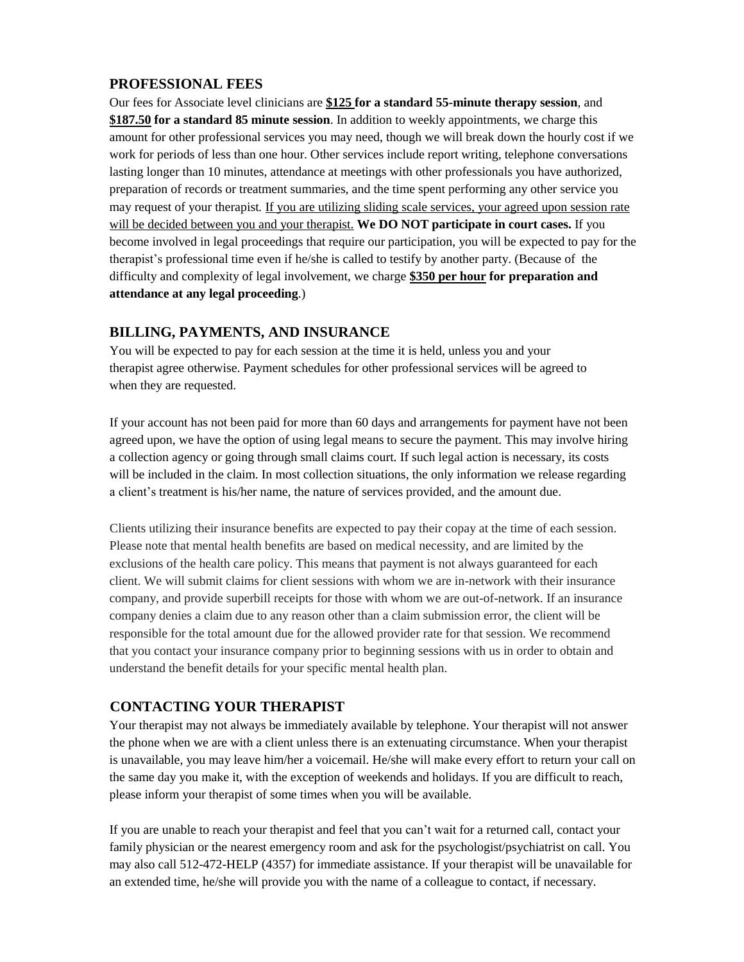#### **PROFESSIONAL FEES**

Our fees for Associate level clinicians are **\$125 for a standard 55-minute therapy session**, and **\$187.50 for a standard 85 minute session**. In addition to weekly appointments, we charge this amount for other professional services you may need, though we will break down the hourly cost if we work for periods of less than one hour. Other services include report writing, telephone conversations lasting longer than 10 minutes, attendance at meetings with other professionals you have authorized, preparation of records or treatment summaries, and the time spent performing any other service you may request of your therapist*.* If you are utilizing sliding scale services, your agreed upon session rate will be decided between you and your therapist. **We DO NOT participate in court cases.** If you become involved in legal proceedings that require our participation, you will be expected to pay for the therapist's professional time even if he/she is called to testify by another party. (Because of the difficulty and complexity of legal involvement, we charge **\$350 per hour for preparation and attendance at any legal proceeding**.)

#### **BILLING, PAYMENTS, AND INSURANCE**

You will be expected to pay for each session at the time it is held, unless you and your therapist agree otherwise. Payment schedules for other professional services will be agreed to when they are requested.

If your account has not been paid for more than 60 days and arrangements for payment have not been agreed upon, we have the option of using legal means to secure the payment. This may involve hiring a collection agency or going through small claims court. If such legal action is necessary, its costs will be included in the claim. In most collection situations, the only information we release regarding a client's treatment is his/her name, the nature of services provided, and the amount due.

Clients utilizing their insurance benefits are expected to pay their copay at the time of each session. Please note that mental health benefits are based on medical necessity, and are limited by the exclusions of the health care policy. This means that payment is not always guaranteed for each client. We will submit claims for client sessions with whom we are in-network with their insurance company, and provide superbill receipts for those with whom we are out-of-network. If an insurance company denies a claim due to any reason other than a claim submission error, the client will be responsible for the total amount due for the allowed provider rate for that session. We recommend that you contact your insurance company prior to beginning sessions with us in order to obtain and understand the benefit details for your specific mental health plan.

#### **CONTACTING YOUR THERAPIST**

Your therapist may not always be immediately available by telephone. Your therapist will not answer the phone when we are with a client unless there is an extenuating circumstance. When your therapist is unavailable, you may leave him/her a voicemail. He/she will make every effort to return your call on the same day you make it, with the exception of weekends and holidays. If you are difficult to reach, please inform your therapist of some times when you will be available.

If you are unable to reach your therapist and feel that you can't wait for a returned call, contact your family physician or the nearest emergency room and ask for the psychologist/psychiatrist on call. You may also call 512-472-HELP (4357) for immediate assistance. If your therapist will be unavailable for an extended time, he/she will provide you with the name of a colleague to contact, if necessary.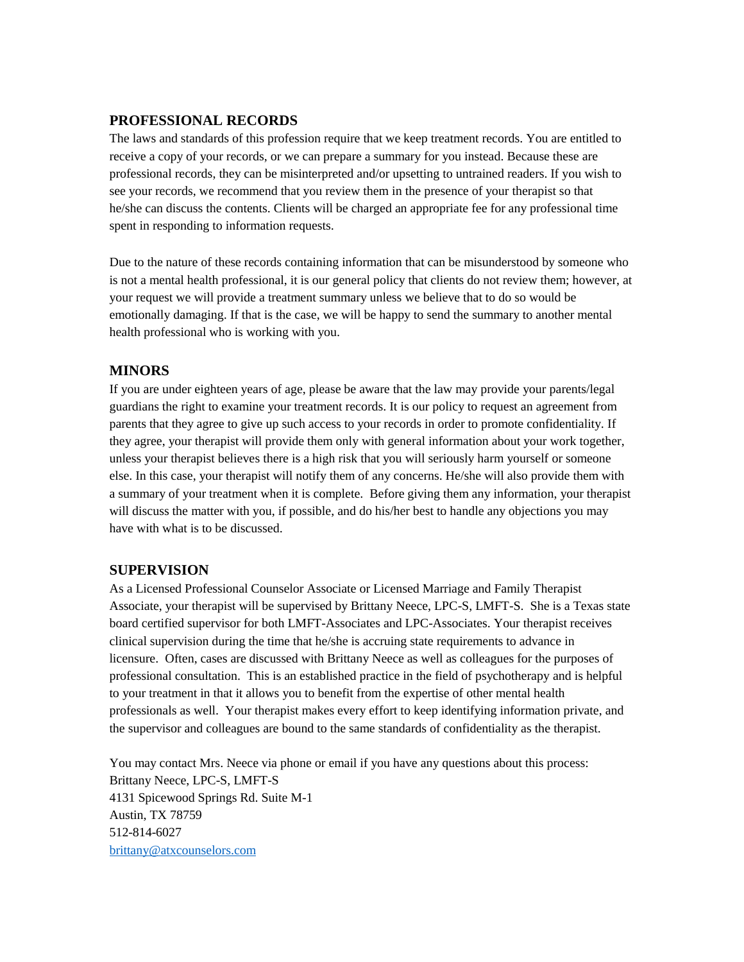### **PROFESSIONAL RECORDS**

The laws and standards of this profession require that we keep treatment records. You are entitled to receive a copy of your records, or we can prepare a summary for you instead. Because these are professional records, they can be misinterpreted and/or upsetting to untrained readers. If you wish to see your records, we recommend that you review them in the presence of your therapist so that he/she can discuss the contents. Clients will be charged an appropriate fee for any professional time spent in responding to information requests.

Due to the nature of these records containing information that can be misunderstood by someone who is not a mental health professional, it is our general policy that clients do not review them; however, at your request we will provide a treatment summary unless we believe that to do so would be emotionally damaging. If that is the case, we will be happy to send the summary to another mental health professional who is working with you.

#### **MINORS**

If you are under eighteen years of age, please be aware that the law may provide your parents/legal guardians the right to examine your treatment records. It is our policy to request an agreement from parents that they agree to give up such access to your records in order to promote confidentiality. If they agree, your therapist will provide them only with general information about your work together, unless your therapist believes there is a high risk that you will seriously harm yourself or someone else. In this case, your therapist will notify them of any concerns. He/she will also provide them with a summary of your treatment when it is complete. Before giving them any information, your therapist will discuss the matter with you, if possible, and do his/her best to handle any objections you may have with what is to be discussed.

#### **SUPERVISION**

As a Licensed Professional Counselor Associate or Licensed Marriage and Family Therapist Associate, your therapist will be supervised by Brittany Neece, LPC-S, LMFT-S. She is a Texas state board certified supervisor for both LMFT-Associates and LPC-Associates. Your therapist receives clinical supervision during the time that he/she is accruing state requirements to advance in licensure. Often, cases are discussed with Brittany Neece as well as colleagues for the purposes of professional consultation. This is an established practice in the field of psychotherapy and is helpful to your treatment in that it allows you to benefit from the expertise of other mental health professionals as well. Your therapist makes every effort to keep identifying information private, and the supervisor and colleagues are bound to the same standards of confidentiality as the therapist.

You may contact Mrs. Neece via phone or email if you have any questions about this process: Brittany Neece, LPC-S, LMFT-S 4131 Spicewood Springs Rd. Suite M-1 Austin, TX 78759 512-814-6027 [brittany@atxcounselors.com](mailto:brittany@atxcounselors.com)